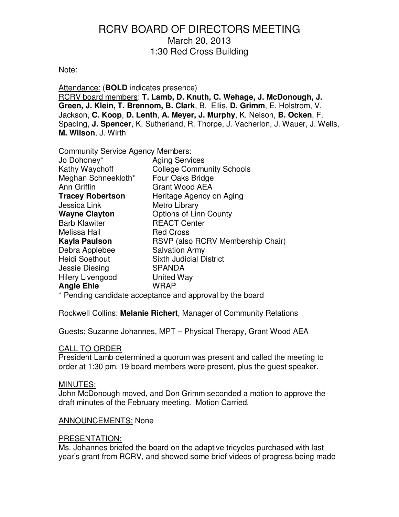#### Note:

Attendance: (**BOLD** indicates presence) RCRV board members: **T. Lamb, D. Knuth, C. Wehage, J. McDonough, J. Green, J. Klein, T. Brennom, B. Clark**, B. Ellis, **D. Grimm**, E. Holstrom, V. Jackson, **C. Koop**, **D. Lenth**, **A. Meyer, J. Murphy**, K. Nelson, **B. Ocken**, F. Spading, **J. Spencer**, K. Sutherland, R. Thorpe, J. Vacherlon, J. Wauer, J. Wells, **M. Wilson**, J. Wirth

#### Community Service Agency Members:

| Jo Dohoney*             | <b>Aging Services</b>             |
|-------------------------|-----------------------------------|
| Kathy Waychoff          | <b>College Community Schools</b>  |
| Meghan Schneekloth*     | Four Oaks Bridge                  |
| Ann Griffin             | <b>Grant Wood AEA</b>             |
| <b>Tracey Robertson</b> | Heritage Agency on Aging          |
| Jessica Link            | Metro Library                     |
| <b>Wayne Clayton</b>    | <b>Options of Linn County</b>     |
| <b>Barb Klawiter</b>    | <b>REACT Center</b>               |
| Melissa Hall            | <b>Red Cross</b>                  |
| <b>Kayla Paulson</b>    | RSVP (also RCRV Membership Chair) |
| Debra Applebee          | <b>Salvation Army</b>             |
| <b>Heidi Soethout</b>   | <b>Sixth Judicial District</b>    |
| Jessie Diesing          | <b>SPANDA</b>                     |
| Hilery Livengood        | United Way                        |
| <b>Angie Ehle</b>       | WRAP                              |
|                         |                                   |

\* Pending candidate acceptance and approval by the board

Rockwell Collins: **Melanie Richert**, Manager of Community Relations

Guests: Suzanne Johannes, MPT – Physical Therapy, Grant Wood AEA

#### CALL TO ORDER

President Lamb determined a quorum was present and called the meeting to order at 1:30 pm. 19 board members were present, plus the guest speaker.

#### MINUTES:

John McDonough moved, and Don Grimm seconded a motion to approve the draft minutes of the February meeting. Motion Carried.

#### ANNOUNCEMENTS: None

#### PRESENTATION:

Ms. Johannes briefed the board on the adaptive tricycles purchased with last year's grant from RCRV, and showed some brief videos of progress being made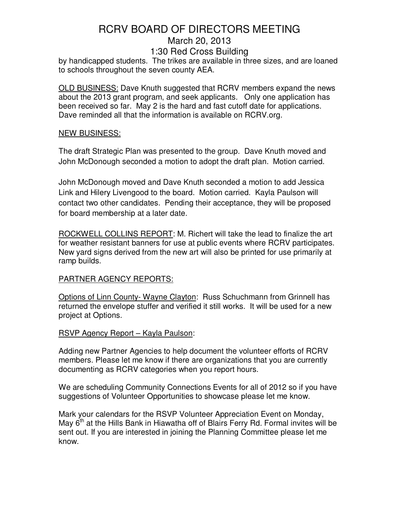by handicapped students. The trikes are available in three sizes, and are loaned to schools throughout the seven county AEA.

OLD BUSINESS: Dave Knuth suggested that RCRV members expand the news about the 2013 grant program, and seek applicants. Only one application has been received so far. May 2 is the hard and fast cutoff date for applications. Dave reminded all that the information is available on RCRV.org.

### NEW BUSINESS:

The draft Strategic Plan was presented to the group. Dave Knuth moved and John McDonough seconded a motion to adopt the draft plan. Motion carried.

John McDonough moved and Dave Knuth seconded a motion to add Jessica Link and Hilery Livengood to the board. Motion carried. Kayla Paulson will contact two other candidates. Pending their acceptance, they will be proposed for board membership at a later date.

ROCKWELL COLLINS REPORT: M. Richert will take the lead to finalize the art for weather resistant banners for use at public events where RCRV participates. New yard signs derived from the new art will also be printed for use primarily at ramp builds.

## PARTNER AGENCY REPORTS:

Options of Linn County- Wayne Clayton: Russ Schuchmann from Grinnell has returned the envelope stuffer and verified it still works. It will be used for a new project at Options.

### RSVP Agency Report – Kayla Paulson:

Adding new Partner Agencies to help document the volunteer efforts of RCRV members. Please let me know if there are organizations that you are currently documenting as RCRV categories when you report hours.

We are scheduling Community Connections Events for all of 2012 so if you have suggestions of Volunteer Opportunities to showcase please let me know.

Mark your calendars for the RSVP Volunteer Appreciation Event on Monday, May  $6<sup>m</sup>$  at the Hills Bank in Hiawatha off of Blairs Ferry Rd. Formal invites will be sent out. If you are interested in joining the Planning Committee please let me know.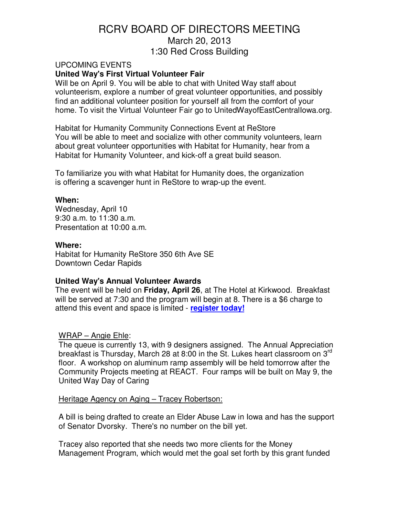## UPCOMING EVENTS **United Way's First Virtual Volunteer Fair**

Will be on April 9. You will be able to chat with United Way staff about volunteerism, explore a number of great volunteer opportunities, and possibly find an additional volunteer position for yourself all from the comfort of your home. To visit the Virtual Volunteer Fair go to UnitedWayofEastCentralIowa.org.

Habitat for Humanity Community Connections Event at ReStore You will be able to meet and socialize with other community volunteers, learn about great volunteer opportunities with Habitat for Humanity, hear from a Habitat for Humanity Volunteer, and kick-off a great build season.

To familiarize you with what Habitat for Humanity does, the organization is offering a scavenger hunt in ReStore to wrap-up the event.

### **When:**

Wednesday, April 10 9:30 a.m. to 11:30 a.m. Presentation at 10:00 a.m.

## **Where:**

Habitat for Humanity ReStore 350 6th Ave SE Downtown Cedar Rapids

## **United Way's Annual Volunteer Awards**

The event will be held on **Friday, April 26**, at The Hotel at Kirkwood. Breakfast will be served at 7:30 and the program will begin at 8. There is a \$6 charge to attend this event and space is limited - **register today!**

## WRAP – Angie Ehle:

The queue is currently 13, with 9 designers assigned. The Annual Appreciation breakfast is Thursday, March 28 at 8:00 in the St. Lukes heart classroom on  $3^{10}$ floor. A workshop on aluminum ramp assembly will be held tomorrow after the Community Projects meeting at REACT. Four ramps will be built on May 9, the United Way Day of Caring

### Heritage Agency on Aging – Tracey Robertson:

A bill is being drafted to create an Elder Abuse Law in Iowa and has the support of Senator Dvorsky. There's no number on the bill yet.

Tracey also reported that she needs two more clients for the Money Management Program, which would met the goal set forth by this grant funded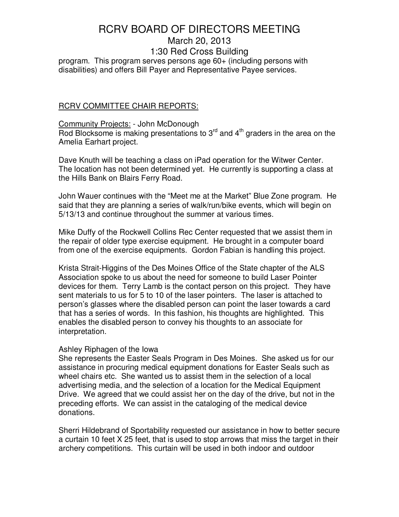# RCRV BOARD OF DIRECTORS MEETING

# March 20, 2013

#### 1:30 Red Cross Building

program. This program serves persons age 60+ (including persons with disabilities) and offers Bill Payer and Representative Payee services.

#### RCRV COMMITTEE CHAIR REPORTS:

## Community Projects: - John McDonough Rod Blocksome is making presentations to  $3<sup>rd</sup>$  and  $4<sup>th</sup>$  graders in the area on the Amelia Earhart project.

Dave Knuth will be teaching a class on iPad operation for the Witwer Center. The location has not been determined yet. He currently is supporting a class at the Hills Bank on Blairs Ferry Road.

John Wauer continues with the "Meet me at the Market" Blue Zone program. He said that they are planning a series of walk/run/bike events, which will begin on 5/13/13 and continue throughout the summer at various times.

Mike Duffy of the Rockwell Collins Rec Center requested that we assist them in the repair of older type exercise equipment. He brought in a computer board from one of the exercise equipments. Gordon Fabian is handling this project.

Krista Strait-Higgins of the Des Moines Office of the State chapter of the ALS Association spoke to us about the need for someone to build Laser Pointer devices for them. Terry Lamb is the contact person on this project. They have sent materials to us for 5 to 10 of the laser pointers. The laser is attached to person's glasses where the disabled person can point the laser towards a card that has a series of words. In this fashion, his thoughts are highlighted. This enables the disabled person to convey his thoughts to an associate for interpretation.

### Ashley Riphagen of the Iowa

She represents the Easter Seals Program in Des Moines. She asked us for our assistance in procuring medical equipment donations for Easter Seals such as wheel chairs etc. She wanted us to assist them in the selection of a local advertising media, and the selection of a location for the Medical Equipment Drive. We agreed that we could assist her on the day of the drive, but not in the preceding efforts. We can assist in the cataloging of the medical device donations.

Sherri Hildebrand of Sportability requested our assistance in how to better secure a curtain 10 feet X 25 feet, that is used to stop arrows that miss the target in their archery competitions. This curtain will be used in both indoor and outdoor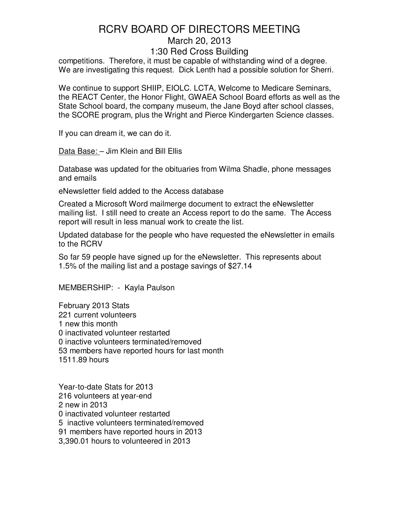competitions. Therefore, it must be capable of withstanding wind of a degree. We are investigating this request. Dick Lenth had a possible solution for Sherri.

We continue to support SHIIP, EIOLC. LCTA, Welcome to Medicare Seminars, the REACT Center, the Honor Flight, GWAEA School Board efforts as well as the State School board, the company museum, the Jane Boyd after school classes, the SCORE program, plus the Wright and Pierce Kindergarten Science classes.

If you can dream it, we can do it.

Data Base: – Jim Klein and Bill Ellis

Database was updated for the obituaries from Wilma Shadle, phone messages and emails

eNewsletter field added to the Access database

Created a Microsoft Word mailmerge document to extract the eNewsletter mailing list. I still need to create an Access report to do the same. The Access report will result in less manual work to create the list.

Updated database for the people who have requested the eNewsletter in emails to the RCRV

So far 59 people have signed up for the eNewsletter. This represents about 1.5% of the mailing list and a postage savings of \$27.14

MEMBERSHIP: - Kayla Paulson

February 2013 Stats 221 current volunteers 1 new this month 0 inactivated volunteer restarted 0 inactive volunteers terminated/removed 53 members have reported hours for last month 1511.89 hours

Year-to-date Stats for 2013 216 volunteers at year-end 2 new in 2013 0 inactivated volunteer restarted 5 inactive volunteers terminated/removed 91 members have reported hours in 2013 3,390.01 hours to volunteered in 2013